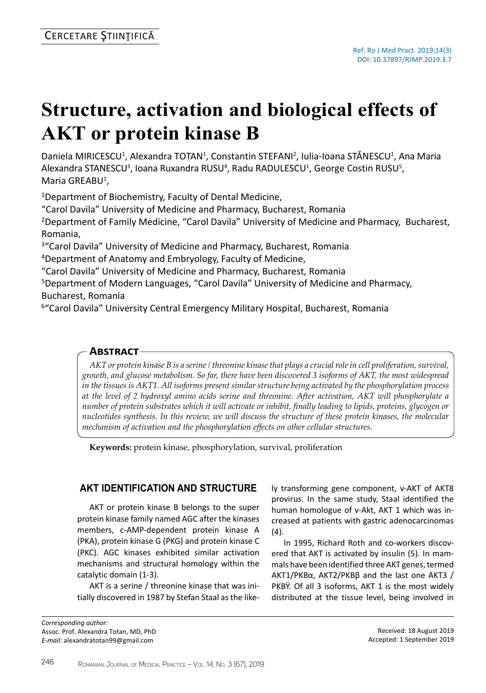# **Structure, activation and biological effects of AKT or protein kinase B**

Daniela MIRICESCU<sup>1</sup>, Alexandra TOTAN<sup>1</sup>, Constantin STEFANI<sup>2</sup>, Iulia-Ioana STĂNESCU<sup>1</sup>, Ana Maria Alexandra STANESCU<sup>3</sup>, Ioana Ruxandra RUSU<sup>4</sup>, Radu RADULESCU<sup>1</sup>, George Costin RUSU<sup>5</sup>, Maria GREABU<sup>1</sup>,

<sup>1</sup>Department of Biochemistry, Faculty of Dental Medicine,

"Carol Davila" University of Medicine and Pharmacy, Bucharest, Romania

<sup>2</sup>Department of Family Medicine, "Carol Davila" University of Medicine and Pharmacy, Bucharest, Romania,

<sup>3</sup> "Carol Davila" University of Medicine and Pharmacy, Bucharest, Romania

<sup>4</sup>Department of Anatomy and Embryology, Faculty of Medicine,

"Carol Davila" University of Medicine and Pharmacy, Bucharest, Romania

<sup>5</sup>Department of Modern Languages, "Carol Davila" University of Medicine and Pharmacy, Bucharest, Romania

<sup>6</sup>"Carol Davila" University Central Emergency Military Hospital, Bucharest, Romania

#### **Abstract**

*AKT or protein kinase B is a serine / threonine kinase that plays a crucial role in cell proliferation, survival, growth, and glucose metabolism. So far, there have been discovered 3 isoforms of AKT, the most widespread in the tissues is AKT1. All isoforms present similar structure being activated by the phosphorylation process at the level of 2 hydroxyl amino acids serine and threonine. After activation, AKT will phosphorylate a number of protein substrates which it will activate or inhibit, finally leading to lipids, proteins, glycogen or nucleotides synthesis. In this review, we will discuss the structure of these protein kinases, the molecular mechanism of activation and the phosphorylation effects on other cellular structures.*

**Keywords:** protein kinase, phosphorylation, survival, proliferation

## **AKT identification and structure**

AKT or protein kinase B belongs to the super protein kinase family named AGC after the kinases members, c-AMP-dependent protein kinase A (PKA), protein kinase G (PKG) and protein kinase C (PKC). AGC kinases exhibited similar activation mechanisms and structural homology within the catalytic domain (1-3).

AKT is a serine / threonine kinase that was initially discovered in 1987 by Stefan Staal as the like-

*Corresponding author:*  Assoc. Prof. Alexandra Totan, MD, PhD *E-mail*: alexandratotan99@gmail.com

ly transforming gene component, v-AKT of AKT8 provirus. In the same study, Staal identified the human homologue of v-Akt, AKT 1 which was increased at patients with gastric adenocarcinomas (4).

In 1995, Richard Roth and co-workers discovered that AKT is activated by insulin (5). In mammals have been identified three AKT genes, termed AKT1/PKBα, AKT2/PKBβ and the last one AKT3 / PKBŸ. Of all 3 isoforms, AKT 1 is the most widely distributed at the tissue level, being involved in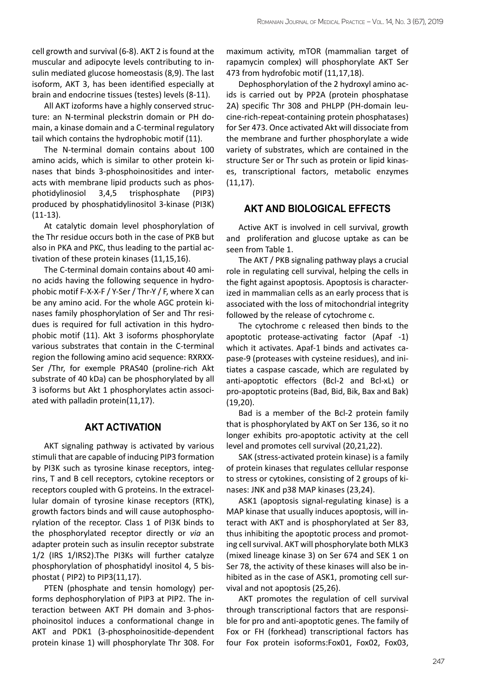cell growth and survival (6-8). AKT 2 is found at the muscular and adipocyte levels contributing to insulin mediated glucose homeostasis (8,9). The last isoform, AKT 3, has been identified especially at brain and endocrine tissues (testes) levels (8-11).

All AKT izoforms have a highly conserved structure: an N-terminal pleckstrin domain or PH domain, a kinase domain and a C-terminal regulatory tail which contains the hydrophobic motif (11).

The N-terminal domain contains about 100 amino acids, which is similar to other protein kinases that binds 3-phosphoinositides and interacts with membrane lipid products such as phosphotidylinosiol 3,4,5 trisphosphate (PIP3) produced by phosphatidylinositol 3-kinase (PI3K) (11-13).

At catalytic domain level phosphorylation of the Thr residue occurs both in the case of PKB but also in PKA and PKC, thus leading to the partial activation of these protein kinases (11,15,16).

The C-terminal domain contains about 40 amino acids having the following sequence in hydrophobic motif F-X-X-F / Y-Ser / Thr-Y / F, where X can be any amino acid. For the whole AGC protein kinases family phosphorylation of Ser and Thr residues is required for full activation in this hydrophobic motif (11). Akt 3 isoforms phosphorylate various substrates that contain in the C-terminal region the following amino acid sequence: RXRXX-Ser /Thr, for exemple PRAS40 (proline-rich Akt substrate of 40 kDa) can be phosphorylated by all 3 isoforms but Akt 1 phosphorylates actin associated with palladin protein(11,17).

#### **AKT activation**

AKT signaling pathway is activated by various stimuli that are capable of inducing PIP3 formation by PI3K such as tyrosine kinase receptors, integrins, T and B cell receptors, cytokine receptors or receptors coupled with G proteins. In the extracellular domain of tyrosine kinase receptors (RTK), growth factors binds and will cause autophosphorylation of the receptor. Class 1 of PI3K binds to the phosphorylated receptor directly or *via* an adapter protein such as insulin receptor substrate 1/2 (IRS 1/IRS2).The PI3Ks will further catalyze phosphorylation of phosphatidyl inositol 4, 5 bisphostat ( PIP2) to PIP3(11,17).

PTEN (phosphate and tensin homology) performs dephosphorylation of PIP3 at PIP2. The interaction between AKT PH domain and 3-phosphoinositol induces a conformational change in AKT and PDK1 (3-phosphoinositide-dependent protein kinase 1) will phosphorylate Thr 308. For

maximum activity, mTOR (mammalian target of rapamycin complex) will phosphorylate AKT Ser 473 from hydrofobic motif (11,17,18).

Dephosphorylation of the 2 hydroxyl amino acids is carried out by PP2A (protein phosphatase 2A) specific Thr 308 and PHLPP (PH-domain leucine-rich-repeat-containing protein phosphatases) for Ser 473. Once activated Akt will dissociate from the membrane and further phosphorylate a wide variety of substrates, which are contained in the structure Ser or Thr such as protein or lipid kinases, transcriptional factors, metabolic enzymes (11,17).

#### **AKT and biological effects**

Active AKT is involved in cell survival, growth and proliferation and glucose uptake as can be seen from Table 1.

The AKT / PKB signaling pathway plays a crucial role in regulating cell survival, helping the cells in the fight against apoptosis. Apoptosis is characterized in mammalian cells as an early process that is associated with the loss of mitochondrial integrity followed by the release of cytochrome c.

The cytochrome c released then binds to the apoptotic protease-activating factor (Apaf -1) which it activates. Apaf-1 binds and activates capase-9 (proteases with cysteine residues), and initiates a caspase cascade, which are regulated by anti-apoptotic effectors (Bcl-2 and Bcl-xL) or pro-apoptotic proteins (Bad, Bid, Bik, Bax and Bak) (19,20).

Bad is a member of the Bcl-2 protein family that is phosphorylated by AKT on Ser 136, so it no longer exhibits pro-apoptotic activity at the cell level and promotes cell survival (20,21,22).

SAK (stress-activated protein kinase) is a family of protein kinases that regulates cellular response to stress or cytokines, consisting of 2 groups of kinases: JNK and p38 MAP kinases (23,24).

ASK1 (apoptosis signal-regulating kinase) is a MAP kinase that usually induces apoptosis, will interact with AKT and is phosphorylated at Ser 83, thus inhibiting the apoptotic process and promoting cell survival. AKT will phosphorylate both MLK3 (mixed lineage kinase 3) on Ser 674 and SEK 1 on Ser 78, the activity of these kinases will also be inhibited as in the case of ASK1, promoting cell survival and not apoptosis (25,26).

AKT promotes the regulation of cell survival through transcriptional factors that are responsible for pro and anti-apoptotic genes. The family of Fox or FH (forkhead) transcriptional factors has four Fox protein isoforms:Fox01, Fox02, Fox03,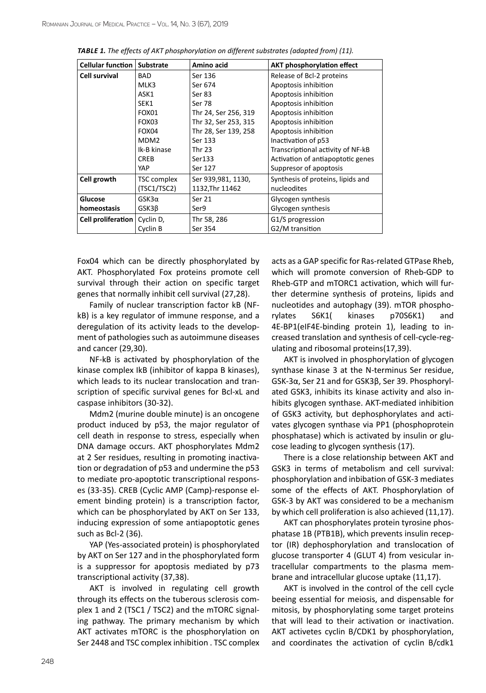| Cellular function         | <b>Substrate</b>   | Amino acid           | <b>AKT phosphorylation effect</b>                 |  |
|---------------------------|--------------------|----------------------|---------------------------------------------------|--|
| Cell survival             | <b>BAD</b>         | Ser 136              | Release of Bcl-2 proteins<br>Apoptosis inhibition |  |
|                           | MLK3               | Ser 674              |                                                   |  |
|                           | ASK1               | Ser 83               | Apoptosis inhibition                              |  |
|                           | SEK1               | Ser 78               | Apoptosis inhibition                              |  |
|                           | FOX01              | Thr 24, Ser 256, 319 | Apoptosis inhibition                              |  |
|                           | FOX <sub>03</sub>  | Thr 32, Ser 253, 315 | Apoptosis inhibition                              |  |
|                           | FOX04              | Thr 28, Ser 139, 258 | Apoptosis inhibition                              |  |
|                           | MDM <sub>2</sub>   | Ser 133              | Inactivation of p53                               |  |
|                           | Ik-B kinase        | Thr 23               | Transcriptional activity of NF-kB                 |  |
|                           | <b>CREB</b>        | Ser133               | Activation of antiapoptotic genes                 |  |
|                           | YAP                | Ser 127              | Suppresor of apoptosis                            |  |
| Cell growth               | <b>TSC</b> complex | Ser 939,981, 1130,   | Synthesis of proteins, lipids and                 |  |
|                           | (TSC1/TSC2)        | 1132, Thr 11462      | nucleodites                                       |  |
| Glucose                   | $GSK3\alpha$       | Ser 21               | Glycogen synthesis                                |  |
| homeostasis               | GSK3B              | Ser9                 | Glycogen synthesis                                |  |
| <b>Cell proliferation</b> | Cyclin D,          | Thr 58, 286          | G1/S progression                                  |  |
|                           | Cyclin B           | Ser 354              | G2/M transition                                   |  |

| TABLE 1. The effects of AKT phosphorylation on different substrates (adapted from) (11). |  |  |  |  |
|------------------------------------------------------------------------------------------|--|--|--|--|
|------------------------------------------------------------------------------------------|--|--|--|--|

Fox04 which can be directly phosphorylated by AKT. Phosphorylated Fox proteins promote cell survival through their action on specific target genes that normally inhibit cell survival (27,28).

Family of nuclear transcription factor kB (NFkB) is a key regulator of immune response, and a deregulation of its activity leads to the development of pathologies such as autoimmune diseases and cancer (29,30).

NF-kB is activated by phosphorylation of the kinase complex IkB (inhibitor of kappa B kinases), which leads to its nuclear translocation and transcription of specific survival genes for Bcl-xL and caspase inhibitors (30-32).

Mdm2 (murine double minute) is an oncogene product induced by p53, the major regulator of cell death in response to stress, especially when DNA damage occurs. AKT phosphorylates Mdm2 at 2 Ser residues, resulting in promoting inactivation or degradation of p53 and undermine the p53 to mediate pro-apoptotic transcriptional responses (33-35). CREB (Cyclic AMP (Camp)-response element binding protein) is a transcription factor, which can be phosphorylated by AKT on Ser 133, inducing expression of some antiapoptotic genes such as Bcl-2 (36).

YAP (Yes-associated protein) is phosphorylated by AKT on Ser 127 and in the phosphorylated form is a suppressor for apoptosis mediated by p73 transcriptional activity (37,38).

AKT is involved in regulating cell growth through its effects on the tuberous sclerosis complex 1 and 2 (TSC1 / TSC2) and the mTORC signaling pathway. The primary mechanism by which AKT activates mTORC is the phosphorylation on Ser 2448 and TSC complex inhibition . TSC complex

acts as a GAP specific for Ras-related GTPase Rheb, which will promote conversion of Rheb-GDP to Rheb-GTP and mTORC1 activation, which will further determine synthesis of proteins, lipids and nucleotides and autophagy (39). mTOR phosphorylates S6K1( kinases p70S6K1) and 4E-BP1(eIF4E-binding protein 1), leading to increased translation and synthesis of cell-cycle-regulating and ribosomal proteins(17,39).

AKT is involved in phosphorylation of glycogen synthase kinase 3 at the N-terminus Ser residue, GSK-3α, Ser 21 and for GSK3β, Ser 39. Phosphorylated GSK3, inhibits its kinase activity and also inhibits glycogen synthase. AKT-mediated inhibition of GSK3 activity, but dephosphorylates and activates glycogen synthase via PP1 (phosphoprotein phosphatase) which is activated by insulin or glucose leading to glycogen synthesis (17).

There is a close relationship between AKT and GSK3 in terms of metabolism and cell survival: phosphorylation and inbibation of GSK-3 mediates some of the effects of AKT. Phosphorylation of GSK-3 by AKT was considered to be a mechanism by which cell proliferation is also achieved (11,17).

AKT can phosphorylates protein tyrosine phosphatase 1B (PTB1B), which prevents insulin receptor (IR) dephosphorylation and translocation of glucose transporter 4 (GLUT 4) from vesicular intracellular compartments to the plasma membrane and intracellular glucose uptake (11,17).

AKT is involved in the control of the cell cycle beeing essential for meiosis, and dispensable for mitosis, by phosphorylating some target proteins that will lead to their activation or inactivation. AKT activetes cyclin B/CDK1 by phosphorylation, and coordinates the activation of cyclin B/cdk1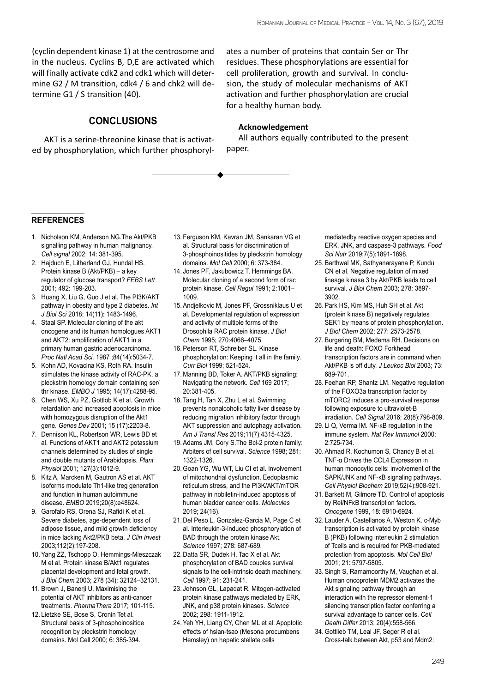(cyclin dependent kinase 1) at the centrosome and in the nucleus. Cyclins B, D,E are activated which will finally activate cdk2 and cdk1 which will determine G2 / M transition, cdk4 / 6 and chk2 will determine G1 / S transition (40).

# **Conclusions**

AKT is a serine-threonine kinase that is activated by phosphorylation, which further phosphoryl-

ates a number of proteins that contain Ser or Thr residues. These phosphorylations are essential for cell proliferation, growth and survival. In conclusion, the study of molecular mechanisms of AKT activation and further phosphorylation are crucial for a healthy human body.

#### **Acknowledgement**

All authors equally contributed to the present paper.

## **references**

- 1. Nicholson KM, Anderson NG.The Akt/PKB signalling pathway in human malignancy. *Cell signal* 2002; 14: 381-395.
- 2. Hajduch E, Litherland GJ, Hundal HS. Protein kinase B (Akt/PKB) – a key regulator of glucose transport? *FEBS Lett* 2001; 492: 199-203.
- 3. Huang X, Liu G, Guo J et al. The PI3K/AKT pathway in obesity and type 2 diabetes. *Int J Biol Sci* 2018; 14(11): 1483-1496.
- 4. Staal SP. Molecular cloning of the akt oncogene and its human homologues AKT1 and AKT2: amplification of AKT1 in a primary human gastric adenocarcinoma. *Proc Natl Acad Sci.* 1987 ;84(14):5034-7.
- 5. Kohn AD, Kovacina KS, Roth RA. Insulin stimulates the kinase activity of RAC-PK, a pleckstrin homology domain containing ser/ thr kinase. *EMBO J* 1995; 14(17):4288-95.
- 6. Chen WS, Xu PZ, Gottlob K et al. Growth retardation and increased apoptosis in mice with homozygous disruption of the Akt1 gene. *Genes Dev* 2001; 15 (17):2203-8.
- 7. Dennison KL, Robertson WR, Lewis BD et al. Functions of AKT1 and AKT2 potassium channels determined by studies of single and double mutants of Arabidopsis. *Plant Physiol* 2001; 127(3):1012-9.
- 8. Kitz A, Marcken M, Gautron AS et al. AKT isoforms modulate Th1-like treg generation and function in human autoimmune disease. *EMBO* 2019;20(8):e48624.
- 9. Garofalo RS, Orena SJ, Rafidi K et al. Severe diabetes, age-dependent loss of adipose tissue, and mild growth deficiency in mice lacking Akt2/PKB beta. *J Clin Invest* 2003;112(2):197-208.
- 10. Yang ZZ, Tschopp O, Hemmings-Mieszczak M et al. Protein kinase B/Akt1 regulates placental development and fetal growth. *J Biol Chem* 2003; 278 (34): 32124–32131.
- 11. Brown J, Banerji U. Maximising the potential of AKT inhibitors as anti-cancer treatments. *PharmaThera* 2017; 101-115.
- 12. Lietzke SE, Bose S, Cronin Tet al. Structural basis of 3-phosphoinositide recognition by pleckstrin homology domains. Mol Cell 2000; 6: 385-394.
- 13. Ferguson KM, Kavran JM, Sankaran VG et al. Structural basis for discrimination of 3-phosphoinositides by pleckstrin homology domains. *Mol Cell* 2000; 6: 373-384.
- 14. Jones PF, Jakubowicz T, Hemmings BA. Molecular cloning of a second form of rac protein kinase. *Cell Regul* 1991; 2:1001– 1009.
- 15. Andjelkovic M, Jones PF, Grossniklaus U et al. Developmental regulation of expression and activity of multiple forms of the Drosophila RAC protein kinase. *J Biol Chem* 1995; 270:4066–4075.
- 16. Peterson RT, Schreiber SL. Kinase phosphorylation: Keeping it all in the family. *Curr Biol* 1999; 521-524.
- 17. Manning BD, Toker A. AKT/PKB signaling: Navigating the network. *Cell* 169 2017; 20:381-405.
- 18. Tang H, Tan X, Zhu L et al. Swimming prevents nonalcoholic fatty liver disease by reducing migration inhibitory factor through AKT suppression and autophagy activation. *Am J Transl Res* 2019;11(7):4315-4325.
- 19. Adams JM, Cory S.The Bcl-2 protein family: Arbiters of cell survival. *Science* 1998; 281: 1322-1326.
- 20. Goan YG, Wu WT, Liu CI et al. Involvement of mitochondrial dysfunction, Eedoplasmic reticulum stress, and the PI3K/AKT/mTOR pathway in nobiletin-induced apoptosis of human bladder cancer cells. *Molecules* 2019; 24(16).
- 21. Del Peso L, Gonzalez-Garcia M, Page C et al. Interleukin-3-induced phosphorylation of BAD through the protein kinase Akt. *Science* 1997; 278: 687-689.
- 22. Datta SR, Dudek H, Tao X et al. Akt phosphorylation of BAD couples survival signals to the cell-intrinsic death machinery. *Cell* 1997; 91: 231-241.
- 23. Johnson GL, Lapadat R. Mitogen-activated protein kinase pathways mediated by ERK, JNK, and p38 protein kinases. *Science* 2002; 298: 1911-1912.
- 24. Yeh YH, Liang CY, Chen ML et al. Apoptotic effects of hsian-tsao (Mesona procumbens Hemsley) on hepatic stellate cells

mediatedby reactive oxygen species and ERK, JNK, and caspase-3 pathways. *Food Sci Nutr* 2019;7(5):1891-1898.

- 25. Barthwal MK, Sathyanarayana P, Kundu CN et al. Negative regulation of mixed lineage kinase 3 by Akt/PKB leads to cell survival. *J Biol Chem* 2003; 278: 3897- 3902.
- 26. Park HS, Kim MS, Huh SH et al. Akt (protein kinase B) negatively regulates SEK1 by means of protein phosphorylation. *J Biol Chem* 2002; 277: 2573-2578.
- 27. Burgering BM, Medema RH. Decisions on life and death: FOXO Forkhead transcription factors are in command when Akt/PKB is off duty. *J Leukoc Biol* 2003; 73: 689-701.
- 28. Feehan RP, Shantz LM. Negative regulation of the FOXO3a transcription factor by mTORC2 induces a pro-survival response following exposure to ultraviolet-B irradiation. *Cell Signal* 2016; 28(8):798-809.
- 29. Li Q, Verma IM. NF-κB regulation in the immune system. *Nat Rev Immunol* 2000; 2:725-734.
- 30. Ahmad R, Kochumon S, Chandy B et al. TNF-α Drives the CCL4 Expression in human monocytic cells: involvement of the SAPK/JNK and NF-κB signaling pathways. *Cell Physiol Biochem* 2019;52(4):908-921.
- 31. Barkett M, Gilmore TD. Control of apoptosis by Rel/NFκB transcription factors. *Oncogene* 1999, 18: 6910-6924.
- 32. Lauder A, Castellanos A, Weston K. c-Myb transcription is activated by protein kinase B (PKB) following interleukin 2 stimulation of Tcells and is required for PKB-mediated protection from apoptosis. *Mol Cell Biol* 2001; 21: 5797-5805.
- 33. Singh S, Ramamoorthy M, Vaughan et al. Human oncoprotein MDM2 activates the Akt signaling pathway through an interaction with the repressor element-1 silencing transcription factor conferring a survival advantage to cancer cells. *Cell Death Differ* 2013; 20(4):558-566.
- 34. Gottlieb TM, Leal JF, Seger R et al. Cross-talk between Akt, p53 and Mdm2: